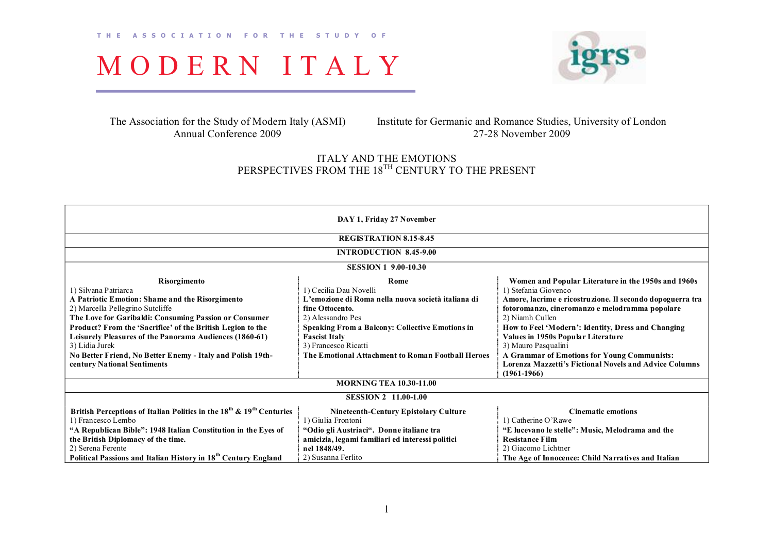

The Association for the Study of Modern Italy (ASMI) Annual Conference 2009

Institute for Germanic and Romance Studies, University of London 2728 November 2009

## ITALY AND THE EMOTIONS PERSPECTIVES FROM THE 18<sup>TH</sup> CENTURY TO THE PRESENT

| DAY 1, Friday 27 November                                                                    |                                                        |                                                               |  |  |  |  |
|----------------------------------------------------------------------------------------------|--------------------------------------------------------|---------------------------------------------------------------|--|--|--|--|
| <b>REGISTRATION 8.15-8.45</b>                                                                |                                                        |                                                               |  |  |  |  |
| <b>INTRODUCTION 8.45-9.00</b>                                                                |                                                        |                                                               |  |  |  |  |
| <b>SESSION 1 9.00-10.30</b>                                                                  |                                                        |                                                               |  |  |  |  |
| Risorgimento                                                                                 | Rome                                                   | Women and Popular Literature in the 1950s and 1960s           |  |  |  |  |
| 1) Silvana Patriarca                                                                         | 1) Cecilia Dau Novelli                                 | 1) Stefania Giovenco                                          |  |  |  |  |
| A Patriotic Emotion: Shame and the Risorgimento                                              | L'emozione di Roma nella nuova società italiana di     | Amore, lacrime e ricostruzione. Il secondo dopoguerra tra     |  |  |  |  |
| 2) Marcella Pellegrino Sutcliffe                                                             | fine Ottocento.                                        | fotoromanzo, cineromanzo e melodramma popolare                |  |  |  |  |
| The Love for Garibaldi: Consuming Passion or Consumer                                        | 2) Alessandro Pes                                      | 2) Niamh Cullen                                               |  |  |  |  |
| Product? From the 'Sacrifice' of the British Legion to the                                   | <b>Speaking From a Balcony: Collective Emotions in</b> | How to Feel 'Modern': Identity, Dress and Changing            |  |  |  |  |
| Leisurely Pleasures of the Panorama Audiences (1860-61)                                      | <b>Fascist Italy</b>                                   | Values in 1950s Popular Literature                            |  |  |  |  |
| 3) Lidia Jurek                                                                               | 3) Francesco Ricatti                                   | 3) Mauro Pasqualini                                           |  |  |  |  |
| No Better Friend, No Better Enemy - Italy and Polish 19th-                                   | The Emotional Attachment to Roman Football Heroes      | A Grammar of Emotions for Young Communists:                   |  |  |  |  |
| century National Sentiments                                                                  |                                                        | <b>Lorenza Mazzetti's Fictional Novels and Advice Columns</b> |  |  |  |  |
|                                                                                              |                                                        | $(1961-1966)$                                                 |  |  |  |  |
| <b>MORNING TEA 10.30-11.00</b>                                                               |                                                        |                                                               |  |  |  |  |
| <b>SESSION 2 11.00-1.00</b>                                                                  |                                                        |                                                               |  |  |  |  |
| British Perceptions of Italian Politics in the 18 <sup>th</sup> & 19 <sup>th</sup> Centuries | <b>Nineteenth-Century Epistolary Culture</b>           | <b>Cinematic emotions</b>                                     |  |  |  |  |
| 1) Francesco Lembo                                                                           | 1) Giulia Frontoni                                     | 1) Catherine O'Rawe                                           |  |  |  |  |
| "A Republican Bible": 1948 Italian Constitution in the Eyes of                               | "Odio gli Austriaci". Donne italiane tra               | "E lucevano le stelle": Music, Melodrama and the              |  |  |  |  |
| the British Diplomacy of the time.                                                           | amicizia, legami familiari ed interessi politici       | <b>Resistance Film</b>                                        |  |  |  |  |
| 2) Serena Ferente                                                                            | nel 1848/49.                                           | 2) Giacomo Lichtner                                           |  |  |  |  |
| Political Passions and Italian History in 18 <sup>th</sup> Century England                   | 2) Susanna Ferlito                                     | The Age of Innocence: Child Narratives and Italian            |  |  |  |  |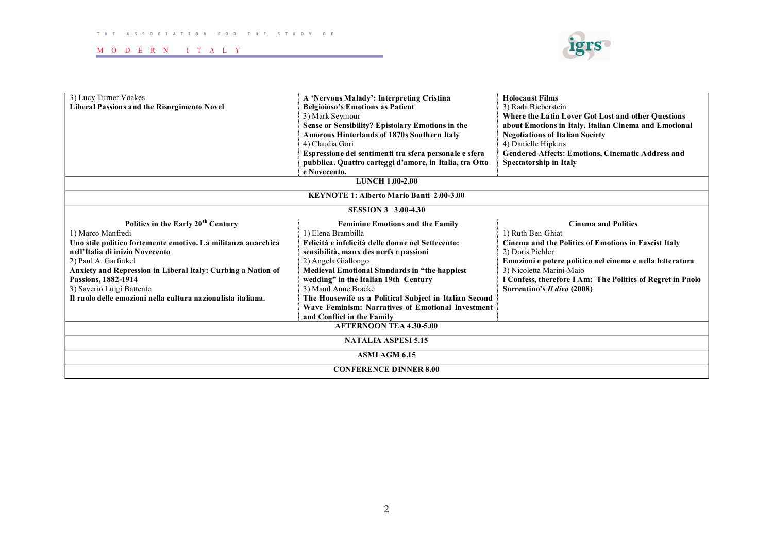

| 3) Lucy Turner Voakes<br><b>Liberal Passions and the Risorgimento Novel</b> | A 'Nervous Malady': Interpreting Cristina<br><b>Belgioioso's Emotions as Patient</b><br>3) Mark Seymour<br>Sense or Sensibility? Epistolary Emotions in the<br><b>Amorous Hinterlands of 1870s Southern Italy</b><br>4) Claudia Gori<br>Espressione dei sentimenti tra sfera personale e sfera<br>pubblica. Quattro carteggi d'amore, in Italia, tra Otto<br>e Novecento. | <b>Holocaust Films</b><br>3) Rada Bieberstein<br>Where the Latin Lover Got Lost and other Questions<br>about Emotions in Italy. Italian Cinema and Emotional<br><b>Negotiations of Italian Society</b><br>4) Danielle Hipkins<br>Gendered Affects: Emotions, Cinematic Address and<br>Spectatorship in Italy |  |  |  |  |
|-----------------------------------------------------------------------------|---------------------------------------------------------------------------------------------------------------------------------------------------------------------------------------------------------------------------------------------------------------------------------------------------------------------------------------------------------------------------|--------------------------------------------------------------------------------------------------------------------------------------------------------------------------------------------------------------------------------------------------------------------------------------------------------------|--|--|--|--|
| <b>LUNCH 1.00-2.00</b>                                                      |                                                                                                                                                                                                                                                                                                                                                                           |                                                                                                                                                                                                                                                                                                              |  |  |  |  |
| KEYNOTE 1: Alberto Mario Banti 2.00-3.00                                    |                                                                                                                                                                                                                                                                                                                                                                           |                                                                                                                                                                                                                                                                                                              |  |  |  |  |
| <b>SESSION 3 3.00-4.30</b>                                                  |                                                                                                                                                                                                                                                                                                                                                                           |                                                                                                                                                                                                                                                                                                              |  |  |  |  |
| Politics in the Early 20 <sup>th</sup> Century                              | <b>Feminine Emotions and the Family</b>                                                                                                                                                                                                                                                                                                                                   | <b>Cinema and Politics</b>                                                                                                                                                                                                                                                                                   |  |  |  |  |
| 1) Marco Manfredi                                                           | 1) Elena Brambilla                                                                                                                                                                                                                                                                                                                                                        | 1) Ruth Ben-Ghiat                                                                                                                                                                                                                                                                                            |  |  |  |  |
| Uno stile politico fortemente emotivo. La militanza anarchica               | Felicità e infelicità delle donne nel Settecento:                                                                                                                                                                                                                                                                                                                         | Cinema and the Politics of Emotions in Fascist Italy                                                                                                                                                                                                                                                         |  |  |  |  |
| nell'Italia di inizio Novecento                                             | sensibilità, maux des nerfs e passioni                                                                                                                                                                                                                                                                                                                                    | 2) Doris Pichler                                                                                                                                                                                                                                                                                             |  |  |  |  |
| 2) Paul A. Garfinkel                                                        | 2) Angela Giallongo                                                                                                                                                                                                                                                                                                                                                       | Emozioni e potere politico nel cinema e nella letteratura                                                                                                                                                                                                                                                    |  |  |  |  |
| Anxiety and Repression in Liberal Italy: Curbing a Nation of                | <b>Medieval Emotional Standards in "the happiest</b>                                                                                                                                                                                                                                                                                                                      | 3) Nicoletta Marini-Maio                                                                                                                                                                                                                                                                                     |  |  |  |  |
| Passions, 1882-1914                                                         | wedding" in the Italian 19th Century                                                                                                                                                                                                                                                                                                                                      | I Confess, therefore I Am: The Politics of Regret in Paolo                                                                                                                                                                                                                                                   |  |  |  |  |
| 3) Saverio Luigi Battente                                                   | 3) Maud Anne Bracke                                                                                                                                                                                                                                                                                                                                                       | Sorrentino's Il divo (2008)                                                                                                                                                                                                                                                                                  |  |  |  |  |
| Il ruolo delle emozioni nella cultura nazionalista italiana.                | The Housewife as a Political Subject in Italian Second                                                                                                                                                                                                                                                                                                                    |                                                                                                                                                                                                                                                                                                              |  |  |  |  |
|                                                                             | Wave Feminism: Narratives of Emotional Investment                                                                                                                                                                                                                                                                                                                         |                                                                                                                                                                                                                                                                                                              |  |  |  |  |
| and Conflict in the Family                                                  |                                                                                                                                                                                                                                                                                                                                                                           |                                                                                                                                                                                                                                                                                                              |  |  |  |  |
| <b>AFTERNOON TEA 4.30-5.00</b>                                              |                                                                                                                                                                                                                                                                                                                                                                           |                                                                                                                                                                                                                                                                                                              |  |  |  |  |
| <b>NATALIA ASPESI 5.15</b>                                                  |                                                                                                                                                                                                                                                                                                                                                                           |                                                                                                                                                                                                                                                                                                              |  |  |  |  |
| <b>ASMI AGM 6.15</b>                                                        |                                                                                                                                                                                                                                                                                                                                                                           |                                                                                                                                                                                                                                                                                                              |  |  |  |  |
| <b>CONFERENCE DINNER 8.00</b>                                               |                                                                                                                                                                                                                                                                                                                                                                           |                                                                                                                                                                                                                                                                                                              |  |  |  |  |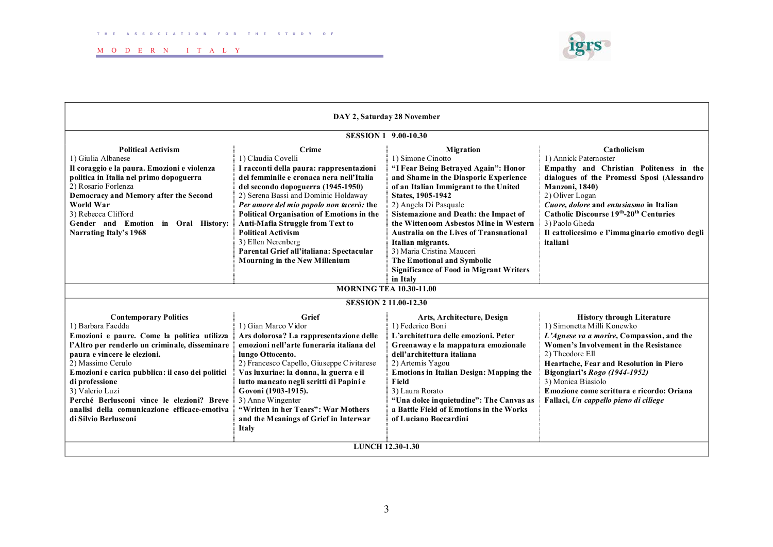

| DAY 2, Saturday 28 November                                                                                                                                                                                                                                                                                                                                                                                            |                                                                                                                                                                                                                                                                                                                                                                                                                                                                       |                                                                                                                                                                                                                                                                                                                                                                                                                                                                                                         |                                                                                                                                                                                                                                                                                                                                                                           |  |  |  |
|------------------------------------------------------------------------------------------------------------------------------------------------------------------------------------------------------------------------------------------------------------------------------------------------------------------------------------------------------------------------------------------------------------------------|-----------------------------------------------------------------------------------------------------------------------------------------------------------------------------------------------------------------------------------------------------------------------------------------------------------------------------------------------------------------------------------------------------------------------------------------------------------------------|---------------------------------------------------------------------------------------------------------------------------------------------------------------------------------------------------------------------------------------------------------------------------------------------------------------------------------------------------------------------------------------------------------------------------------------------------------------------------------------------------------|---------------------------------------------------------------------------------------------------------------------------------------------------------------------------------------------------------------------------------------------------------------------------------------------------------------------------------------------------------------------------|--|--|--|
| <b>SESSION 1 9.00-10.30</b>                                                                                                                                                                                                                                                                                                                                                                                            |                                                                                                                                                                                                                                                                                                                                                                                                                                                                       |                                                                                                                                                                                                                                                                                                                                                                                                                                                                                                         |                                                                                                                                                                                                                                                                                                                                                                           |  |  |  |
| <b>Political Activism</b><br>1) Giulia Albanese<br>Il coraggio e la paura. Emozioni e violenza<br>politica in Italia nel primo dopoguerra<br>2) Rosario Forlenza<br>Democracy and Memory after the Second<br><b>World War</b><br>3) Rebecca Clifford<br>Gender and Emotion in Oral History:<br>Narrating Italy's 1968                                                                                                  | Crime<br>1) Claudia Covelli<br>I racconti della paura: rappresentazioni<br>del femminile e cronaca nera nell'Italia<br>del secondo dopoguerra (1945-1950)<br>2) Serena Bassi and Dominic Holdaway<br>Per amore del mio popolo non tacerò: the<br><b>Political Organisation of Emotions in the</b><br>Anti-Mafia Struggle from Text to<br><b>Political Activism</b><br>3) Ellen Nerenberg<br>Parental Grief all'italiana: Spectacular<br>Mourning in the New Millenium | <b>Migration</b><br>1) Simone Cinotto<br>"I Fear Being Betrayed Again": Honor<br>and Shame in the Diasporic Experience<br>of an Italian Immigrant to the United<br>States, 1905-1942<br>2) Angela Di Pasquale<br>Sistemazione and Death: the Impact of<br>the Wittenoom Asbestos Mine in Western<br><b>Australia on the Lives of Transnational</b><br>Italian migrants.<br>3) Maria Cristina Mauceri<br><b>The Emotional and Symbolic</b><br><b>Significance of Food in Migrant Writers</b><br>in Italy | Catholicism<br>1) Annick Paternoster<br>Empathy and Christian Politeness in the<br>dialogues of the Promessi Sposi (Alessandro<br><b>Manzoni</b> , 1840)<br>2) Oliver Logan<br>Cuore, dolore and entusiasmo in Italian<br>Catholic Discourse 19 <sup>th</sup> -20 <sup>th</sup> Centuries<br>3) Paolo Gheda<br>Il cattolicesimo e l'immaginario emotivo degli<br>italiani |  |  |  |
|                                                                                                                                                                                                                                                                                                                                                                                                                        | <b>MORNING TEA 10.30-11.00</b>                                                                                                                                                                                                                                                                                                                                                                                                                                        |                                                                                                                                                                                                                                                                                                                                                                                                                                                                                                         |                                                                                                                                                                                                                                                                                                                                                                           |  |  |  |
| <b>SESSION 211.00-12.30</b>                                                                                                                                                                                                                                                                                                                                                                                            |                                                                                                                                                                                                                                                                                                                                                                                                                                                                       |                                                                                                                                                                                                                                                                                                                                                                                                                                                                                                         |                                                                                                                                                                                                                                                                                                                                                                           |  |  |  |
| <b>Contemporary Politics</b><br>1) Barbara Faedda<br>Emozioni e paure. Come la politica utilizza<br>l'Altro per renderlo un criminale, disseminare<br>paura e vincere le elezioni.<br>2) Massimo Cerulo<br>Emozioni e carica pubblica: il caso dei politici<br>di professione<br>3) Valerio Luzi<br>Perché Berlusconi vince le elezioni? Breve<br>analisi della comunicazione efficace-emotiva<br>di Silvio Berlusconi | Grief<br>1) Gian Marco Vidor<br>Ars dolorosa? La rappresentazione delle<br>emozioni nell'arte funeraria italiana del<br>lungo Ottocento.<br>2) Francesco Capello, Giuseppe Civitarese<br>Vas luxuriae: la donna, la guerra e il<br>lutto mancato negli scritti di Papini e<br>Govoni (1903-1915).<br>3) Anne Wingenter<br>"Written in her Tears": War Mothers<br>and the Meanings of Grief in Interwar<br><b>Italy</b>                                                | Arts, Architecture, Design<br>1) Federico Boni<br>L'architettura delle emozioni. Peter<br>Greenaway e la mappatura emozionale<br>dell'architettura italiana<br>2) Artemis Yagou<br><b>Emotions in Italian Design: Mapping the</b><br>Field<br>3) Laura Rorato<br>"Una dolce inquietudine": The Canvas as<br>a Battle Field of Emotions in the Works<br>of Luciano Boccardini                                                                                                                            | <b>History through Literature</b><br>1) Simonetta Milli Konewko<br>L'Agnese va a morire, Compassion, and the<br>Women's Involvement in the Resistance<br>2) Theodore Ell<br>Heartache, Fear and Resolution in Piero<br>Bigongiari's Rogo (1944-1952)<br>3) Monica Biasiolo<br>Emozione come scrittura e ricordo: Oriana<br>Fallaci, Un cappello pieno di ciliege          |  |  |  |
| <b>LUNCH 12.30-1.30</b>                                                                                                                                                                                                                                                                                                                                                                                                |                                                                                                                                                                                                                                                                                                                                                                                                                                                                       |                                                                                                                                                                                                                                                                                                                                                                                                                                                                                                         |                                                                                                                                                                                                                                                                                                                                                                           |  |  |  |